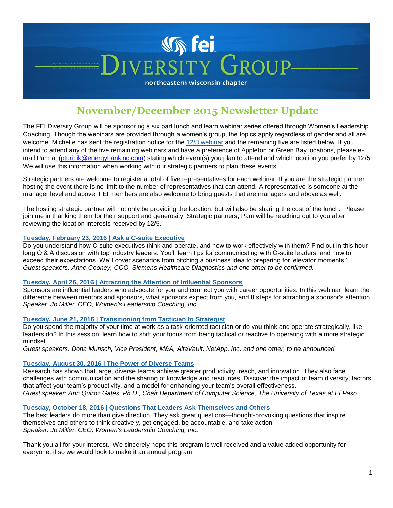# **Vin Fei**  $GROID$ **VERSITY**

northeastern wisconsin chapter

## **November/December 2015 Newsletter Update**

The FEI Diversity Group will be sponsoring a six part lunch and learn webinar series offered through Women's Leadership Coaching. Though the webinars are provided through a women's group, the topics apply regardless of gender and all are welcome. Michelle has sent the registration notice for the [12/8 webinar](http://events.constantcontact.com/register/event?llr=rxhnt6dab&oeidk=a07ebtxbm7q2be72681) and the remaining five are listed below. If you intend to attend any of the five remaining webinars and have a preference of Appleton or Green Bay locations, please e-mail Pam at [\(pturicik@energybankinc.com\)](mailto:pturicik@energybankinc.com) stating which event(s) you plan to attend and which location you prefer by 12/5. We will use this information when working with our strategic partners to plan these events.

Strategic partners are welcome to register a total of five representatives for each webinar. If you are the strategic partner hosting the event there is no limit to the number of representatives that can attend. A representative is someone at the manager level and above. FEI members are also welcome to bring guests that are managers and above as well.

The hosting strategic partner will not only be providing the location, but will also be sharing the cost of the lunch. Please join me in thanking them for their support and generosity. Strategic partners, Pam will be reaching out to you after reviewing the location interests received by 12/5.

### **Tuesday, February 23, 2016 | Ask a C-suite Executive**

Do you understand how C-suite executives think and operate, and how to work effectively with them? Find out in this hourlong Q & A discussion with top industry leaders. You'll learn tips for communicating with C-suite leaders, and how to exceed their expectations. We'll cover scenarios from pitching a business idea to preparing for 'elevator moments.' *Guest speakers: Anne Cooney, COO, Siemens Healthcare Diagnostics and one other to be confirmed.*

### **Tuesday, April 26, 2016 | Attracting the Attention of Influential Sponsors**

Sponsors are influential leaders who advocate for you and connect you with career opportunities. In this webinar, learn the difference between mentors and sponsors, what sponsors expect from you, and 8 steps for attracting a sponsor's attention. *Speaker: Jo Miller, CEO, Women's Leadership Coaching, Inc.*

### **Tuesday, June 21, 2016 | Transitioning from Tactician to Strategist**

Do you spend the majority of your time at work as a task-oriented tactician or do you think and operate strategically, like leaders do? In this session, learn how to shift your focus from being tactical or reactive to operating with a more strategic mindset.

*Guest speakers: Dona Munsch, Vice President, M&A, AltaVault, NetApp, Inc. and one other, to be announced.*

### **Tuesday, August 30, 2016 | The Power of Diverse Teams**

Research has shown that large, diverse teams achieve greater productivity, reach, and innovation. They also face challenges with communication and the sharing of knowledge and resources. Discover the impact of team diversity, factors that affect your team's productivity, and a model for enhancing your team's overall effectiveness. *Guest speaker: Ann Quiroz Gates, Ph.D., Chair Department of Computer Science, The University of Texas at El Paso.*

#### **Tuesday, October 18, 2016 | Questions That Leaders Ask Themselves and Others**

The best leaders do more than give direction. They ask great questions—thought-provoking questions that inspire themselves and others to think creatively, get engaged, be accountable, and take action. *Speaker: Jo Miller, CEO, Women's Leadership Coaching, Inc.*

Thank you all for your interest. We sincerely hope this program is well received and a value added opportunity for everyone, if so we would look to make it an annual program.